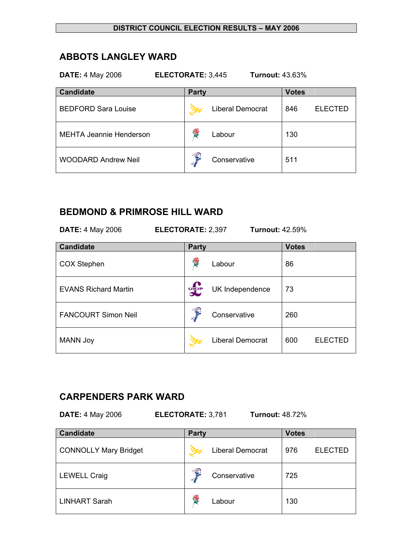# **ABBOTS LANGLEY WARD**

| <b>ELECTORATE: 3,445</b><br><b>DATE: 4 May 2006</b><br><b>Turnout: 43.63%</b> |                         |                       |  |  |  |
|-------------------------------------------------------------------------------|-------------------------|-----------------------|--|--|--|
| <b>Candidate</b>                                                              | <b>Party</b>            | <b>Votes</b>          |  |  |  |
| <b>BEDFORD Sara Louise</b>                                                    | <b>Liberal Democrat</b> | <b>ELECTED</b><br>846 |  |  |  |
| <b>MEHTA Jeannie Henderson</b>                                                | <b>RE</b><br>Labour     | 130                   |  |  |  |
| <b>WOODARD Andrew Neil</b>                                                    | €<br>Conservative       | 511                   |  |  |  |

# **BEDMOND & PRIMROSE HILL WARD**

| <b>DATE: 4 May 2006</b> |
|-------------------------|
|-------------------------|

**DATE:** 4 May 2006 **ELECTORATE:** 2,397 **Turnout:** 42.59%

| <b>Candidate</b>            | <b>Party</b>           |                         | <b>Votes</b> |                |
|-----------------------------|------------------------|-------------------------|--------------|----------------|
| <b>COX Stephen</b>          | <b>RE</b>              | Labour                  | 86           |                |
| <b>EVANS Richard Martin</b> | <b>DELP</b>            | UK Independence         | 73           |                |
| <b>FANCOURT Simon Neil</b>  | $\widehat{\mathbf{S}}$ | Conservative            | 260          |                |
| <b>MANN Joy</b>             |                        | <b>Liberal Democrat</b> | 600          | <b>ELECTED</b> |

# **CARPENDERS PARK WARD**

**DATE:** 4 May 2006 **ELECTORATE:** 3,781 **Turnout:** 48.72%

| <b>Candidate</b>             | <b>Party</b>           |                         | <b>Votes</b> |                |
|------------------------------|------------------------|-------------------------|--------------|----------------|
| <b>CONNOLLY Mary Bridget</b> |                        | <b>Liberal Democrat</b> | 976          | <b>ELECTED</b> |
| <b>LEWELL Craig</b>          | $\widehat{\mathbf{s}}$ | Conservative            | 725          |                |
| <b>LINHART Sarah</b>         | f.                     | Labour                  | 130          |                |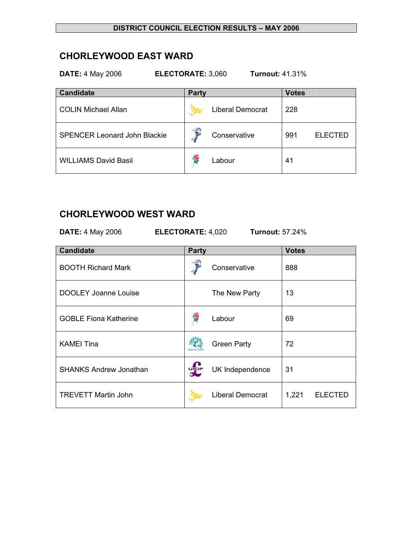# **CHORLEYWOOD EAST WARD**

| <b>Turnout: 41.31%</b><br><b>DATE: 4 May 2006</b><br>ELECTORATE: 3,060 |                         |                       |  |  |
|------------------------------------------------------------------------|-------------------------|-----------------------|--|--|
| <b>Candidate</b>                                                       | <b>Party</b>            | <b>Votes</b>          |  |  |
| <b>COLIN Michael Allan</b>                                             | <b>Liberal Democrat</b> | 228                   |  |  |
| <b>SPENCER Leonard John Blackie</b>                                    | €<br>Conservative       | 991<br><b>ELECTED</b> |  |  |
| <b>WILLIAMS David Basil</b>                                            | Y.<br>Labour            | 41                    |  |  |

## **CHORLEYWOOD WEST WARD**

**DATE:** 4 May 2006 **ELECTORATE:** 4,020 **Turnout:** 57.24%

| <b>Candidate</b>              | <b>Party</b>       |                         | <b>Votes</b> |         |
|-------------------------------|--------------------|-------------------------|--------------|---------|
| <b>BOOTH Richard Mark</b>     |                    | Conservative            | 888          |         |
| <b>DOOLEY Joanne Louise</b>   |                    | The New Party           | 13           |         |
| <b>GOBLE Fiona Katherine</b>  |                    | Labour                  | 69           |         |
| <b>KAMEI Tina</b>             | <b>Green Party</b> | <b>Green Party</b>      | 72           |         |
| <b>SHANKS Andrew Jonathan</b> | <b>UKIP</b>        | UK Independence         | 31           |         |
| <b>TREVETT Martin John</b>    |                    | <b>Liberal Democrat</b> | 1,221        | ELECTED |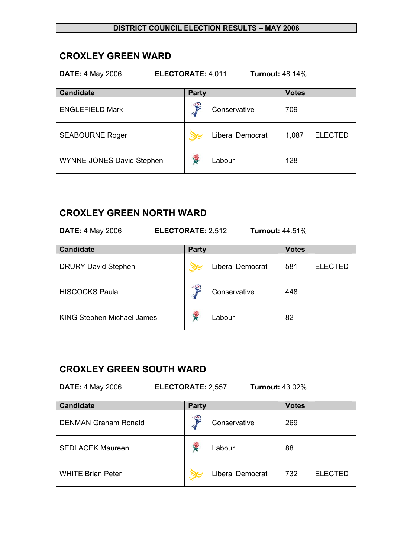### **CROXLEY GREEN WARD**

**DATE:** 4 May 2006 **ELECTORATE:** 4,011 **Turnout:** 48.14%

| <b>Candidate</b>          | <b>Party</b> |                         | <b>Votes</b> |                |
|---------------------------|--------------|-------------------------|--------------|----------------|
| <b>ENGLEFIELD Mark</b>    | €            | Conservative            | 709          |                |
| <b>SEABOURNE Roger</b>    |              | <b>Liberal Democrat</b> | 1,087        | <b>ELECTED</b> |
| WYNNE-JONES David Stephen | ł.           | Labour                  | 128          |                |

## **CROXLEY GREEN NORTH WARD**

**DATE:** 4 May 2006 **ELECTORATE:** 2,512 **Turnout:** 44.51%

| <b>Candidate</b>                  | <b>Party</b>            | <b>Votes</b>          |
|-----------------------------------|-------------------------|-----------------------|
| <b>DRURY David Stephen</b>        | <b>Liberal Democrat</b> | 581<br><b>ELECTED</b> |
| <b>HISCOCKS Paula</b>             | €<br>Conservative       | 448                   |
| <b>KING Stephen Michael James</b> | <b>RE</b><br>Labour     | 82                    |

# **CROXLEY GREEN SOUTH WARD**

**DATE:** 4 May 2006 **ELECTORATE:** 2,557 **Turnout:** 43.02%

| <b>Candidate</b>            | Party |                         | <b>Votes</b> |                |
|-----------------------------|-------|-------------------------|--------------|----------------|
| <b>DENMAN Graham Ronald</b> | €     | Conservative            | 269          |                |
| <b>SEDLACEK Maureen</b>     | Ý.    | Labour                  | 88           |                |
| <b>WHITE Brian Peter</b>    |       | <b>Liberal Democrat</b> | 732          | <b>ELECTED</b> |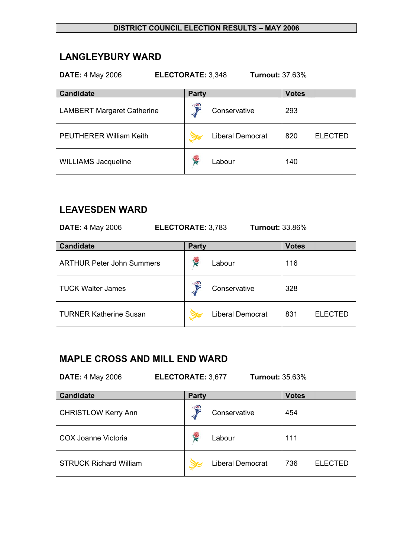# **LANGLEYBURY WARD**

| <b>DATE: 4 May 2006</b><br>ELECTORATE: 3,348<br><b>Turnout: 37.63%</b> |                         |                       |  |  |  |
|------------------------------------------------------------------------|-------------------------|-----------------------|--|--|--|
| <b>Candidate</b>                                                       | <b>Party</b>            | <b>Votes</b>          |  |  |  |
| <b>LAMBERT Margaret Catherine</b>                                      | €<br>Conservative       | 293                   |  |  |  |
| <b>PEUTHERER William Keith</b>                                         | <b>Liberal Democrat</b> | 820<br><b>ELECTED</b> |  |  |  |
| <b>WILLIAMS Jacqueline</b>                                             | 浸<br>Labour             | 140                   |  |  |  |

# **LEAVESDEN WARD**

| <b>DATE: 4 May 2006</b> |
|-------------------------|
|                         |

**DATE:** 4 May 2006 **ELECTORATE:** 3,783 **Turnout:** 33.86%

| <b>Candidate</b>                 | <b>Party</b> |                         | <b>Votes</b> |                |
|----------------------------------|--------------|-------------------------|--------------|----------------|
| <b>ARTHUR Peter John Summers</b> | <b>REA</b>   | Labour                  | 116          |                |
| <b>TUCK Walter James</b>         | €            | Conservative            | 328          |                |
| <b>TURNER Katherine Susan</b>    |              | <b>Liberal Democrat</b> | 831          | <b>ELECTED</b> |

# **MAPLE CROSS AND MILL END WARD**

**DATE:** 4 May 2006 **ELECTORATE:** 3,677 **Turnout:** 35.63%

| <b>Candidate</b>              | <b>Party</b> |                         | <b>Votes</b> |                |
|-------------------------------|--------------|-------------------------|--------------|----------------|
| <b>CHRISTLOW Kerry Ann</b>    | €            | Conservative            | 454          |                |
| COX Joanne Victoria           | <b>RE</b>    | Labour                  | 111          |                |
| <b>STRUCK Richard William</b> |              | <b>Liberal Democrat</b> | 736          | <b>ELECTED</b> |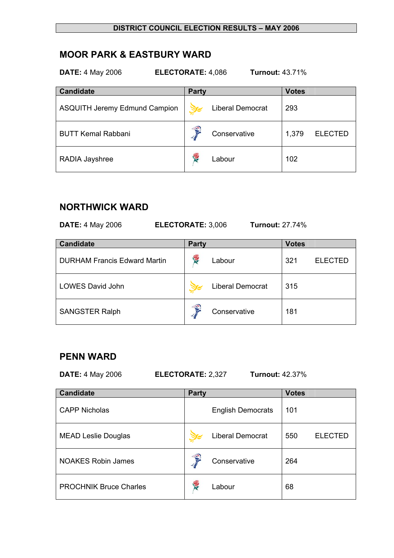# **MOOR PARK & EASTBURY WARD**

| <b>Turnout: 43.71%</b><br><b>DATE: 4 May 2006</b><br><b>ELECTORATE: 4,086</b> |                         |                         |  |  |
|-------------------------------------------------------------------------------|-------------------------|-------------------------|--|--|
| <b>Candidate</b>                                                              | <b>Party</b>            | <b>Votes</b>            |  |  |
| <b>ASQUITH Jeremy Edmund Campion</b>                                          | <b>Liberal Democrat</b> | 293                     |  |  |
| <b>BUTT Kemal Rabbani</b>                                                     | €<br>Conservative       | 1,379<br><b>ELECTED</b> |  |  |
| RADIA Jayshree                                                                | 侵<br>Labour             | 102                     |  |  |

## **NORTHWICK WARD**

| <b>DATE: 4 May 2006</b> |  |
|-------------------------|--|
|-------------------------|--|

**DATE:** 4 May 2006 **ELECTORATE:** 3,006 **Turnout:** 27.74%

| <b>Candidate</b>                    | <b>Party</b> |                         | <b>Votes</b> |                |
|-------------------------------------|--------------|-------------------------|--------------|----------------|
| <b>DURHAM Francis Edward Martin</b> | f.           | Labour                  | 321          | <b>ELECTED</b> |
| <b>LOWES David John</b>             |              | <b>Liberal Democrat</b> | 315          |                |
| <b>SANGSTER Ralph</b>               | €            | Conservative            | 181          |                |

## **PENN WARD**

**DATE:** 4 May 2006 **ELECTORATE:** 2,327 **Turnout:** 42.37%

| <b>Candidate</b>              | <b>Party</b> |                          | <b>Votes</b> |                |
|-------------------------------|--------------|--------------------------|--------------|----------------|
| <b>CAPP Nicholas</b>          |              | <b>English Democrats</b> | 101          |                |
| <b>MEAD Leslie Douglas</b>    |              | <b>Liberal Democrat</b>  | 550          | <b>ELECTED</b> |
| <b>NOAKES Robin James</b>     | S            | Conservative             | 264          |                |
| <b>PROCHNIK Bruce Charles</b> | ₩            | Labour                   | 68           |                |